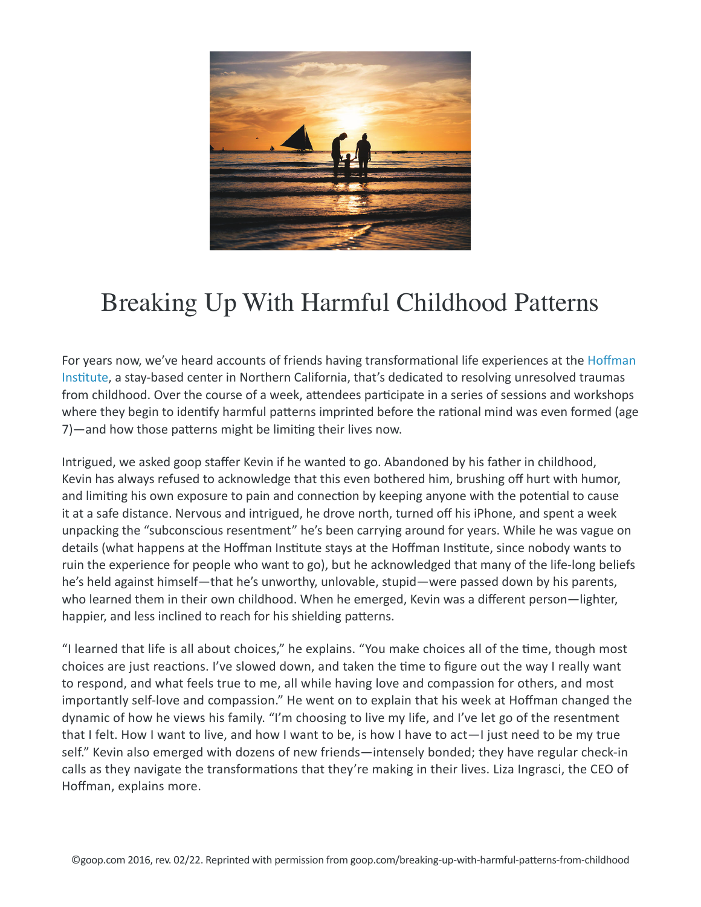

## Breaking Up With Harmful Childhood Patterns

For years now, we've heard accounts of friends having transformational life experiences at the Hoffman Institute, a stay-based center in Northern California, that's dedicated to resolving unresolved traumas from childhood. Over the course of a week, attendees participate in a series of sessions and workshops where they begin to identify harmful patterns imprinted before the rational mind was even formed (age 7)—and how those patterns might be limiting their lives now.

Intrigued, we asked goop staffer Kevin if he wanted to go. Abandoned by his father in childhood, Kevin has always refused to acknowledge that this even bothered him, brushing off hurt with humor, and limiting his own exposure to pain and connection by keeping anyone with the potential to cause it at a safe distance. Nervous and intrigued, he drove north, turned off his iPhone, and spent a week unpacking the "subconscious resentment" he's been carrying around for years. While he was vague on details (what happens at the Hoffman Institute stays at the Hoffman Institute, since nobody wants to ruin the experience for people who want to go), but he acknowledged that many of the life-long beliefs he's held against himself—that he's unworthy, unlovable, stupid—were passed down by his parents, who learned them in their own childhood. When he emerged, Kevin was a different person—lighter, happier, and less inclined to reach for his shielding patterns.

"I learned that life is all about choices," he explains. "You make choices all of the time, though most choices are just reactions. I've slowed down, and taken the time to figure out the way I really want to respond, and what feels true to me, all while having love and compassion for others, and most importantly self-love and compassion." He went on to explain that his week at Hoffman changed the dynamic of how he views his family. "I'm choosing to live my life, and I've let go of the resentment that I felt. How I want to live, and how I want to be, is how I have to act—I just need to be my true self." Kevin also emerged with dozens of new friends—intensely bonded; they have regular check-in calls as they navigate the transformations that they're making in their lives. Liza Ingrasci, the CEO of Hoffman, explains more.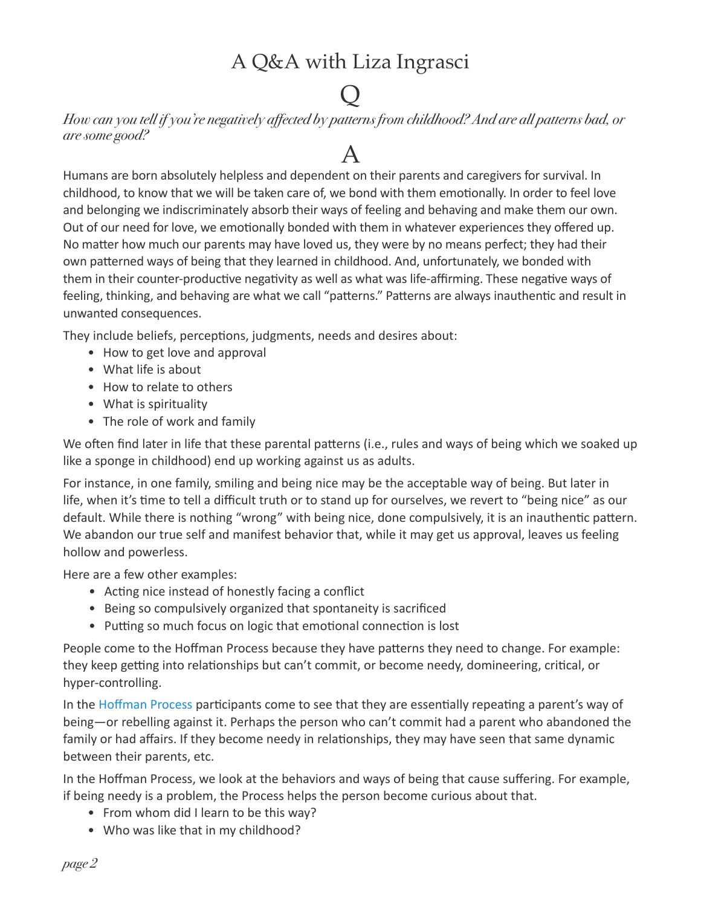#### A Q&A with Liza Ingrasci

### $\overline{\mathsf{Q}}$

*How can you tell if you're negatively affected by patterns from childhood? And are all patterns bad, or are some good?*

### A

Humans are born absolutely helpless and dependent on their parents and caregivers for survival. In childhood, to know that we will be taken care of, we bond with them emotionally. In order to feel love and belonging we indiscriminately absorb their ways of feeling and behaving and make them our own. Out of our need for love, we emotionally bonded with them in whatever experiences they offered up. No matter how much our parents may have loved us, they were by no means perfect; they had their own patterned ways of being that they learned in childhood. And, unfortunately, we bonded with them in their counter-productive negativity as well as what was life-affirming. These negative ways of feeling, thinking, and behaving are what we call "patterns." Patterns are always inauthentic and result in unwanted consequences.

They include beliefs, perceptions, judgments, needs and desires about:

- How to get love and approval
- What life is about
- How to relate to others
- What is spirituality
- The role of work and family

We often find later in life that these parental patterns (i.e., rules and ways of being which we soaked up like a sponge in childhood) end up working against us as adults.

For instance, in one family, smiling and being nice may be the acceptable way of being. But later in life, when it's time to tell a difficult truth or to stand up for ourselves, we revert to "being nice" as our default. While there is nothing "wrong" with being nice, done compulsively, it is an inauthentic pattern. We abandon our true self and manifest behavior that, while it may get us approval, leaves us feeling hollow and powerless.

Here are a few other examples:

- Acting nice instead of honestly facing a conflict
- Being so compulsively organized that spontaneity is sacrificed
- Putting so much focus on logic that emotional connection is lost

People come to the Hoffman Process because they have patterns they need to change. For example: they keep getting into relationships but can't commit, or become needy, domineering, critical, or hyper-controlling.

In the Hoffman Process participants come to see that they are essentially repeating a parent's way of being—or rebelling against it. Perhaps the person who can't commit had a parent who abandoned the family or had affairs. If they become needy in relationships, they may have seen that same dynamic between their parents, etc.

In the Hoffman Process, we look at the behaviors and ways of being that cause suffering. For example, if being needy is a problem, the Process helps the person become curious about that.

- From whom did I learn to be this way?
- Who was like that in my childhood?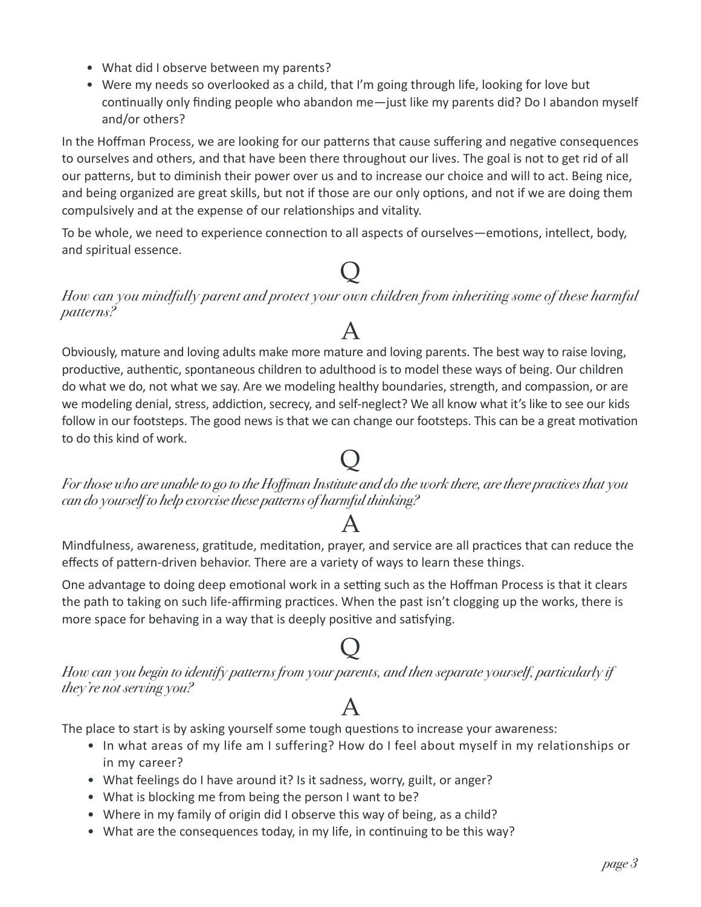- What did I observe between my parents?
- Were my needs so overlooked as a child, that I'm going through life, looking for love but continually only finding people who abandon me—just like my parents did? Do I abandon myself and/or others?

In the Hoffman Process, we are looking for our patterns that cause suffering and negative consequences to ourselves and others, and that have been there throughout our lives. The goal is not to get rid of all our patterns, but to diminish their power over us and to increase our choice and will to act. Being nice, and being organized are great skills, but not if those are our only options, and not if we are doing them compulsively and at the expense of our relationships and vitality.

To be whole, we need to experience connection to all aspects of ourselves—emotions, intellect, body, and spiritual essence.

# $\overline{\mathsf{Q}}$

*How can you mindfully parent and protect your own children from inheriting some of these harmful patterns?*

### A

Obviously, mature and loving adults make more mature and loving parents. The best way to raise loving, productive, authentic, spontaneous children to adulthood is to model these ways of being. Our children do what we do, not what we say. Are we modeling healthy boundaries, strength, and compassion, or are we modeling denial, stress, addiction, secrecy, and self-neglect? We all know what it's like to see our kids follow in our footsteps. The good news is that we can change our footsteps. This can be a great motivation to do this kind of work.

### $\overline{\mathsf{Q}}$

*For those who are unable to go to the Hoffman Institute and do the work there, are there practices that you can do yourself to help exorcise these patterns of harmful thinking?*

#### A

Mindfulness, awareness, gratitude, meditation, prayer, and service are all practices that can reduce the effects of pattern-driven behavior. There are a variety of ways to learn these things.

One advantage to doing deep emotional work in a setting such as the Hoffman Process is that it clears the path to taking on such life-affirming practices. When the past isn't clogging up the works, there is more space for behaving in a way that is deeply positive and satisfying.

### $\overline{\mathsf{Q}}$

*How can you begin to identify patterns from your parents, and then separate yourself, particularly if they're not serving you?*

#### A

The place to start is by asking yourself some tough questions to increase your awareness:

- In what areas of my life am I suffering? How do I feel about myself in my relationships or in my career?
- What feelings do I have around it? Is it sadness, worry, guilt, or anger?
- What is blocking me from being the person I want to be?
- Where in my family of origin did I observe this way of being, as a child?
- What are the consequences today, in my life, in continuing to be this way?